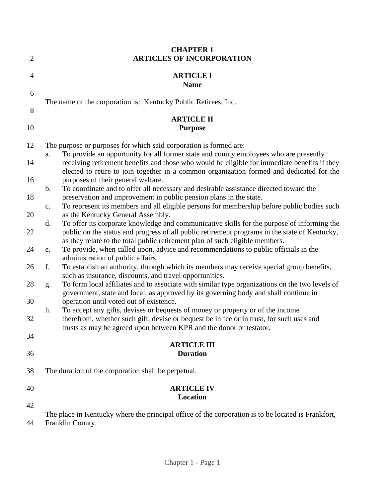| $\overline{2}$ | <b>CHAPTER 1</b><br><b>ARTICLES OF INCORPORATION</b>                                                                                                                                                                                               |
|----------------|----------------------------------------------------------------------------------------------------------------------------------------------------------------------------------------------------------------------------------------------------|
| 4              | <b>ARTICLE I</b><br><b>Name</b>                                                                                                                                                                                                                    |
| 6<br>8         | The name of the corporation is: Kentucky Public Retirees, Inc.                                                                                                                                                                                     |
| 10             | <b>ARTICLE II</b><br><b>Purpose</b>                                                                                                                                                                                                                |
| 12             | The purpose or purposes for which said corporation is formed are:<br>To provide an opportunity for all former state and county employees who are presently<br>a.                                                                                   |
| 14             | receiving retirement benefits and those who would be eligible for immediate benefits if they<br>elected to retire to join together in a common organization formed and dedicated for the                                                           |
| 16             | purposes of their general welfare.<br>To coordinate and to offer all necessary and desirable assistance directed toward the<br>b.                                                                                                                  |
| 18             | preservation and improvement in public pension plans in the state.<br>To represent its members and all eligible persons for membership before public bodies such<br>c.                                                                             |
| 20<br>22       | as the Kentucky General Assembly.<br>To offer its corporate knowledge and communicative skills for the purpose of informing the<br>$\mathbf{d}$ .<br>public on the status and progress of all public retirement programs in the state of Kentucky, |
| 24             | as they relate to the total public retirement plan of such eligible members.<br>To provide, when called upon, advice and recommendations to public officials in the<br>e.                                                                          |
| 26             | administration of public affairs.<br>f.<br>To establish an authority, through which its members may receive special group benefits,<br>such as insurance, discounts, and travel opportunities.                                                     |
| 28             | To form local affiliates and to associate with similar type organizations on the two levels of<br>g.<br>government, state and local, as approved by its governing body and shall continue in                                                       |
| 30             | operation until voted out of existence.<br>To accept any gifts, devises or bequests of money or property or of the income<br>h.                                                                                                                    |
| 32             | therefrom, whether such gift, devise or bequest be in fee or in trust, for such uses and<br>trusts as may be agreed upon between KPR and the donor or testator.                                                                                    |
| 34<br>36       | <b>ARTICLE III</b><br><b>Duration</b>                                                                                                                                                                                                              |
|                |                                                                                                                                                                                                                                                    |
| 38             | The duration of the corporation shall be perpetual.                                                                                                                                                                                                |
| 40             | <b>ARTICLE IV</b><br>Location                                                                                                                                                                                                                      |
| 42             | The place in Kentucky where the principal office of the corporation is to be located is Frankfort,                                                                                                                                                 |
| 44             | Franklin County.                                                                                                                                                                                                                                   |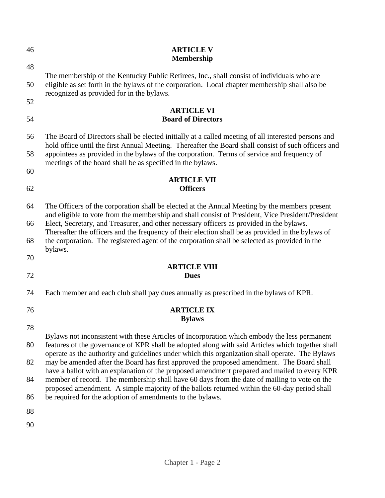| 46 | <b>ARTICLE V</b><br><b>Membership</b>                                                                                                                                                                                                                                                                                                                                                               |
|----|-----------------------------------------------------------------------------------------------------------------------------------------------------------------------------------------------------------------------------------------------------------------------------------------------------------------------------------------------------------------------------------------------------|
| 48 |                                                                                                                                                                                                                                                                                                                                                                                                     |
| 50 | The membership of the Kentucky Public Retirees, Inc., shall consist of individuals who are<br>eligible as set forth in the bylaws of the corporation. Local chapter membership shall also be<br>recognized as provided for in the bylaws.                                                                                                                                                           |
| 52 |                                                                                                                                                                                                                                                                                                                                                                                                     |
| 54 | <b>ARTICLE VI</b><br><b>Board of Directors</b>                                                                                                                                                                                                                                                                                                                                                      |
| 56 | The Board of Directors shall be elected initially at a called meeting of all interested persons and<br>hold office until the first Annual Meeting. Thereafter the Board shall consist of such officers and                                                                                                                                                                                          |
| 58 | appointees as provided in the bylaws of the corporation. Terms of service and frequency of<br>meetings of the board shall be as specified in the bylaws.                                                                                                                                                                                                                                            |
| 60 | <b>ARTICLE VII</b>                                                                                                                                                                                                                                                                                                                                                                                  |
| 62 | <b>Officers</b>                                                                                                                                                                                                                                                                                                                                                                                     |
| 64 | The Officers of the corporation shall be elected at the Annual Meeting by the members present<br>and eligible to vote from the membership and shall consist of President, Vice President/President<br>Elect, Secretary, and Treasurer, and other necessary officers as provided in the bylaws.<br>Thereafter the officers and the frequency of their election shall be as provided in the bylaws of |
| 66 |                                                                                                                                                                                                                                                                                                                                                                                                     |
| 68 | the corporation. The registered agent of the corporation shall be selected as provided in the<br>bylaws.                                                                                                                                                                                                                                                                                            |
| 70 | <b>ARTICLE VIII</b>                                                                                                                                                                                                                                                                                                                                                                                 |
| 72 | <b>Dues</b>                                                                                                                                                                                                                                                                                                                                                                                         |
| 74 | Each member and each club shall pay dues annually as prescribed in the bylaws of KPR.                                                                                                                                                                                                                                                                                                               |
| 76 | <b>ARTICLE IX</b><br><b>Bylaws</b>                                                                                                                                                                                                                                                                                                                                                                  |
| 78 |                                                                                                                                                                                                                                                                                                                                                                                                     |
| 80 | Bylaws not inconsistent with these Articles of Incorporation which embody the less permanent<br>features of the governance of KPR shall be adopted along with said Articles which together shall<br>operate as the authority and guidelines under which this organization shall operate. The Bylaws                                                                                                 |
| 82 | may be amended after the Board has first approved the proposed amendment. The Board shall<br>have a ballot with an explanation of the proposed amendment prepared and mailed to every KPR                                                                                                                                                                                                           |
| 84 | member of record. The membership shall have 60 days from the date of mailing to vote on the<br>proposed amendment. A simple majority of the ballots returned within the 60-day period shall                                                                                                                                                                                                         |
| 86 | be required for the adoption of amendments to the bylaws.                                                                                                                                                                                                                                                                                                                                           |
| 88 |                                                                                                                                                                                                                                                                                                                                                                                                     |
| 90 |                                                                                                                                                                                                                                                                                                                                                                                                     |
|    |                                                                                                                                                                                                                                                                                                                                                                                                     |